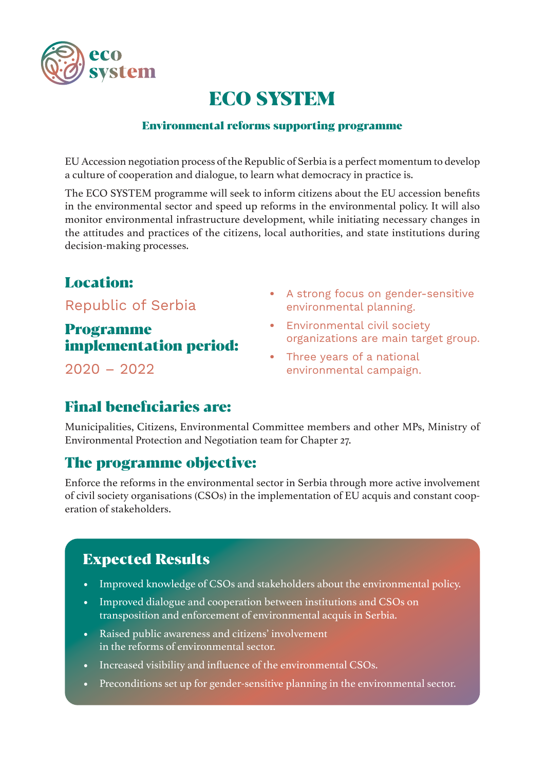

# ECO SYSTEM

#### Environmental reforms supporting programme

EU Accession negotiation process of the Republic of Serbia is a perfect momentum to develop a culture of cooperation and dialogue, to learn what democracy in practice is.

The ECO SYSTEM programme will seek to inform citizens about the EU accession benefits in the environmental sector and speed up reforms in the environmental policy. It will also monitor environmental infrastructure development, while initiating necessary changes in the attitudes and practices of the citizens, local authorities, and state institutions during decision-making processes.

## Location:

Republic of Serbia

### Programme implementation period:

2020 – 2022

- **•** A strong focus on gender-sensitive environmental planning.
- **•** Environmental civil society organizations are main target group.
- **•** Three years of a national environmental campaign.

### Final beneficiaries are:

Municipalities, Citizens, Environmental Committee members and other MPs, Ministry of Environmental Protection and Negotiation team for Chapter 27.

### The programme objective:

Enforce the reforms in the environmental sector in Serbia through more active involvement of civil society organisations (CSOs) in the implementation of EU acquis and constant cooperation of stakeholders.

### Expected Results

- **•** Improved knowledge of CSOs and stakeholders about the environmental policy.
- **•** Improved dialogue and cooperation between institutions and CSOs on transposition and enforcement of environmental acquis in Serbia.
- **•** Raised public awareness and citizens' involvement in the reforms of environmental sector.
- **•** Increased visibility and influence of the environmental CSOs.
- **•** Preconditions set up for gender-sensitive planning in the environmental sector.